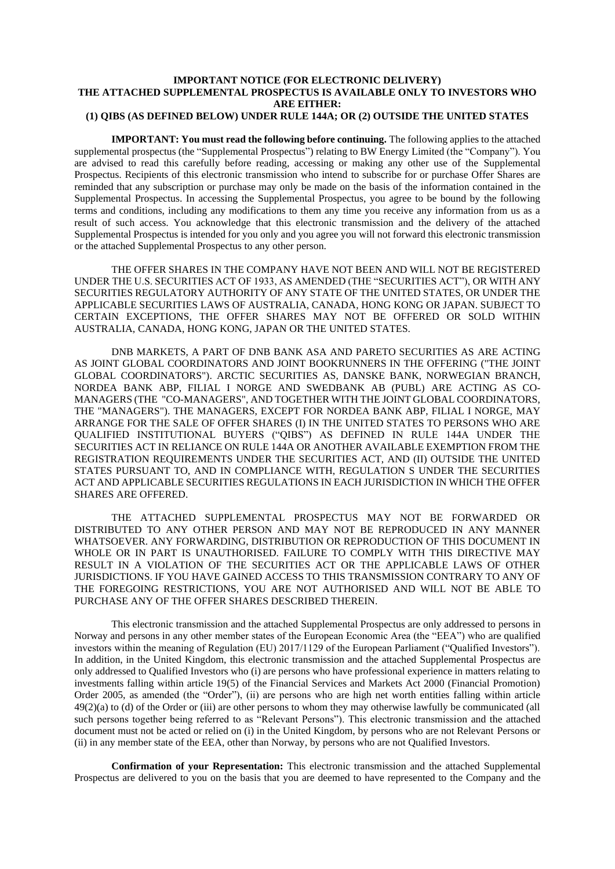## **IMPORTANT NOTICE (FOR ELECTRONIC DELIVERY) THE ATTACHED SUPPLEMENTAL PROSPECTUS IS AVAILABLE ONLY TO INVESTORS WHO ARE EITHER: (1) QIBS (AS DEFINED BELOW) UNDER RULE 144A; OR (2) OUTSIDE THE UNITED STATES**

**IMPORTANT: You must read the following before continuing.** The following applies to the attached supplemental prospectus (the "Supplemental Prospectus") relating to BW Energy Limited (the "Company"). You are advised to read this carefully before reading, accessing or making any other use of the Supplemental Prospectus. Recipients of this electronic transmission who intend to subscribe for or purchase Offer Shares are reminded that any subscription or purchase may only be made on the basis of the information contained in the Supplemental Prospectus. In accessing the Supplemental Prospectus, you agree to be bound by the following terms and conditions, including any modifications to them any time you receive any information from us as a result of such access. You acknowledge that this electronic transmission and the delivery of the attached Supplemental Prospectus is intended for you only and you agree you will not forward this electronic transmission or the attached Supplemental Prospectus to any other person.

THE OFFER SHARES IN THE COMPANY HAVE NOT BEEN AND WILL NOT BE REGISTERED UNDER THE U.S. SECURITIES ACT OF 1933, AS AMENDED (THE "SECURITIES ACT"), OR WITH ANY SECURITIES REGULATORY AUTHORITY OF ANY STATE OF THE UNITED STATES, OR UNDER THE APPLICABLE SECURITIES LAWS OF AUSTRALIA, CANADA, HONG KONG OR JAPAN. SUBJECT TO CERTAIN EXCEPTIONS, THE OFFER SHARES MAY NOT BE OFFERED OR SOLD WITHIN AUSTRALIA, CANADA, HONG KONG, JAPAN OR THE UNITED STATES.

DNB MARKETS, A PART OF DNB BANK ASA AND PARETO SECURITIES AS ARE ACTING AS JOINT GLOBAL COORDINATORS AND JOINT BOOKRUNNERS IN THE OFFERING ("THE JOINT GLOBAL COORDINATORS"). ARCTIC SECURITIES AS, DANSKE BANK, NORWEGIAN BRANCH, NORDEA BANK ABP, FILIAL I NORGE AND SWEDBANK AB (PUBL) ARE ACTING AS CO-MANAGERS (THE "CO-MANAGERS", AND TOGETHER WITH THE JOINT GLOBAL COORDINATORS, THE "MANAGERS"). THE MANAGERS, EXCEPT FOR NORDEA BANK ABP, FILIAL I NORGE, MAY ARRANGE FOR THE SALE OF OFFER SHARES (I) IN THE UNITED STATES TO PERSONS WHO ARE QUALIFIED INSTITUTIONAL BUYERS ("QIBS") AS DEFINED IN RULE 144A UNDER THE SECURITIES ACT IN RELIANCE ON RULE 144A OR ANOTHER AVAILABLE EXEMPTION FROM THE REGISTRATION REQUIREMENTS UNDER THE SECURITIES ACT, AND (II) OUTSIDE THE UNITED STATES PURSUANT TO, AND IN COMPLIANCE WITH, REGULATION S UNDER THE SECURITIES ACT AND APPLICABLE SECURITIES REGULATIONS IN EACH JURISDICTION IN WHICH THE OFFER SHARES ARE OFFERED.

THE ATTACHED SUPPLEMENTAL PROSPECTUS MAY NOT BE FORWARDED OR DISTRIBUTED TO ANY OTHER PERSON AND MAY NOT BE REPRODUCED IN ANY MANNER WHATSOEVER. ANY FORWARDING, DISTRIBUTION OR REPRODUCTION OF THIS DOCUMENT IN WHOLE OR IN PART IS UNAUTHORISED. FAILURE TO COMPLY WITH THIS DIRECTIVE MAY RESULT IN A VIOLATION OF THE SECURITIES ACT OR THE APPLICABLE LAWS OF OTHER JURISDICTIONS. IF YOU HAVE GAINED ACCESS TO THIS TRANSMISSION CONTRARY TO ANY OF THE FOREGOING RESTRICTIONS, YOU ARE NOT AUTHORISED AND WILL NOT BE ABLE TO PURCHASE ANY OF THE OFFER SHARES DESCRIBED THEREIN.

This electronic transmission and the attached Supplemental Prospectus are only addressed to persons in Norway and persons in any other member states of the European Economic Area (the "EEA") who are qualified investors within the meaning of Regulation (EU) 2017/1129 of the European Parliament ("Qualified Investors"). In addition, in the United Kingdom, this electronic transmission and the attached Supplemental Prospectus are only addressed to Qualified Investors who (i) are persons who have professional experience in matters relating to investments falling within article 19(5) of the Financial Services and Markets Act 2000 (Financial Promotion) Order 2005, as amended (the "Order"), (ii) are persons who are high net worth entities falling within article 49(2)(a) to (d) of the Order or (iii) are other persons to whom they may otherwise lawfully be communicated (all such persons together being referred to as "Relevant Persons"). This electronic transmission and the attached document must not be acted or relied on (i) in the United Kingdom, by persons who are not Relevant Persons or (ii) in any member state of the EEA, other than Norway, by persons who are not Qualified Investors.

**Confirmation of your Representation:** This electronic transmission and the attached Supplemental Prospectus are delivered to you on the basis that you are deemed to have represented to the Company and the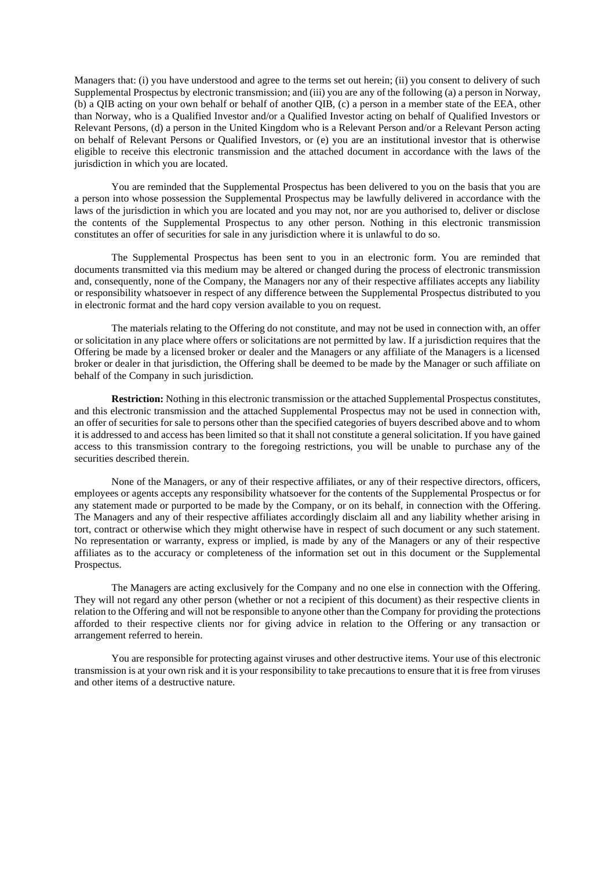Managers that: (i) you have understood and agree to the terms set out herein; (ii) you consent to delivery of such Supplemental Prospectus by electronic transmission; and (iii) you are any of the following (a) a person in Norway, (b) a QIB acting on your own behalf or behalf of another QIB, (c) a person in a member state of the EEA, other than Norway, who is a Qualified Investor and/or a Qualified Investor acting on behalf of Qualified Investors or Relevant Persons, (d) a person in the United Kingdom who is a Relevant Person and/or a Relevant Person acting on behalf of Relevant Persons or Qualified Investors, or (e) you are an institutional investor that is otherwise eligible to receive this electronic transmission and the attached document in accordance with the laws of the jurisdiction in which you are located.

You are reminded that the Supplemental Prospectus has been delivered to you on the basis that you are a person into whose possession the Supplemental Prospectus may be lawfully delivered in accordance with the laws of the jurisdiction in which you are located and you may not, nor are you authorised to, deliver or disclose the contents of the Supplemental Prospectus to any other person. Nothing in this electronic transmission constitutes an offer of securities for sale in any jurisdiction where it is unlawful to do so.

The Supplemental Prospectus has been sent to you in an electronic form. You are reminded that documents transmitted via this medium may be altered or changed during the process of electronic transmission and, consequently, none of the Company, the Managers nor any of their respective affiliates accepts any liability or responsibility whatsoever in respect of any difference between the Supplemental Prospectus distributed to you in electronic format and the hard copy version available to you on request.

The materials relating to the Offering do not constitute, and may not be used in connection with, an offer or solicitation in any place where offers or solicitations are not permitted by law. If a jurisdiction requires that the Offering be made by a licensed broker or dealer and the Managers or any affiliate of the Managers is a licensed broker or dealer in that jurisdiction, the Offering shall be deemed to be made by the Manager or such affiliate on behalf of the Company in such jurisdiction.

**Restriction:** Nothing in this electronic transmission or the attached Supplemental Prospectus constitutes, and this electronic transmission and the attached Supplemental Prospectus may not be used in connection with, an offer of securities for sale to persons other than the specified categories of buyers described above and to whom it is addressed to and access has been limited so that it shall not constitute a general solicitation. If you have gained access to this transmission contrary to the foregoing restrictions, you will be unable to purchase any of the securities described therein.

None of the Managers, or any of their respective affiliates, or any of their respective directors, officers, employees or agents accepts any responsibility whatsoever for the contents of the Supplemental Prospectus or for any statement made or purported to be made by the Company, or on its behalf, in connection with the Offering. The Managers and any of their respective affiliates accordingly disclaim all and any liability whether arising in tort, contract or otherwise which they might otherwise have in respect of such document or any such statement. No representation or warranty, express or implied, is made by any of the Managers or any of their respective affiliates as to the accuracy or completeness of the information set out in this document or the Supplemental Prospectus.

The Managers are acting exclusively for the Company and no one else in connection with the Offering. They will not regard any other person (whether or not a recipient of this document) as their respective clients in relation to the Offering and will not be responsible to anyone other than the Company for providing the protections afforded to their respective clients nor for giving advice in relation to the Offering or any transaction or arrangement referred to herein.

You are responsible for protecting against viruses and other destructive items. Your use of this electronic transmission is at your own risk and it is your responsibility to take precautions to ensure that it is free from viruses and other items of a destructive nature.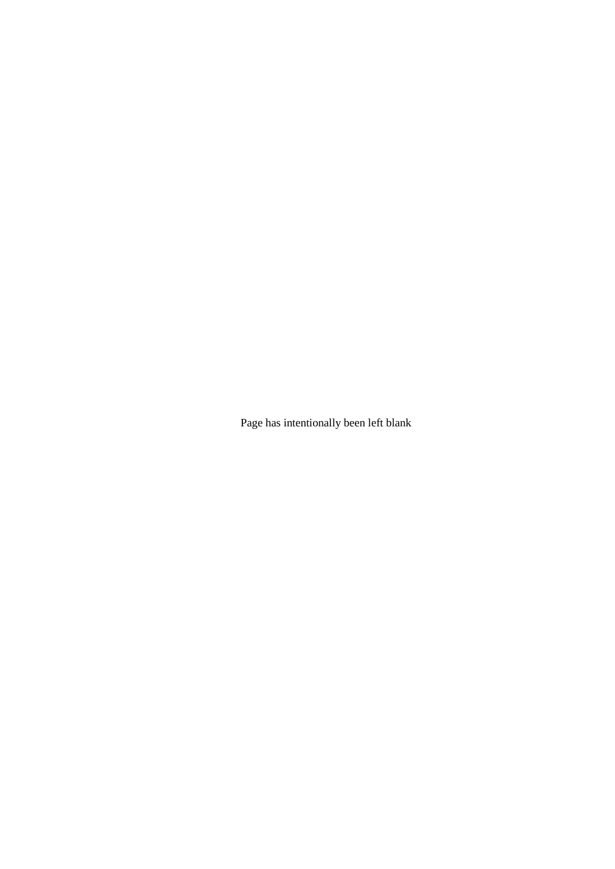Page has intentionally been left blank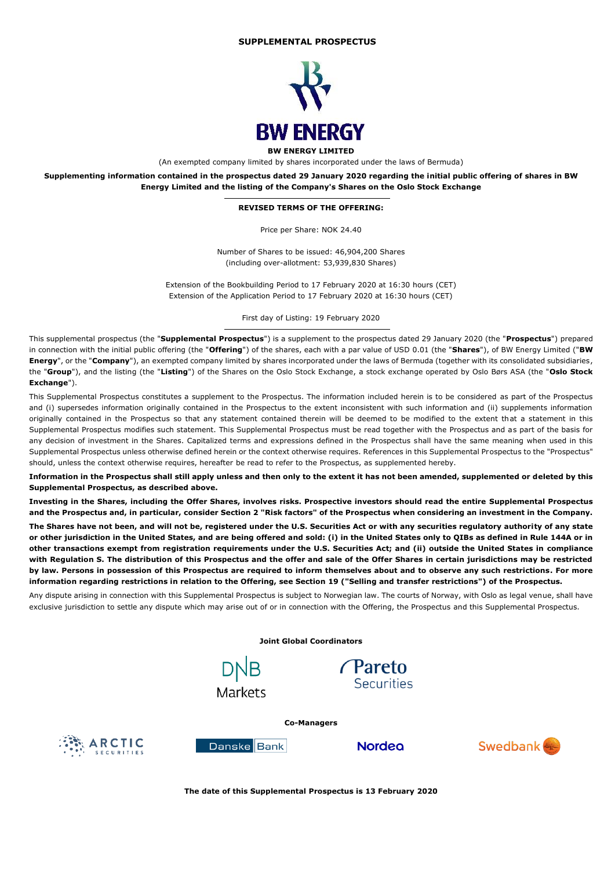#### **SUPPLEMENTAL PROSPECTUS**



(An exempted company limited by shares incorporated under the laws of Bermuda)

**Supplementing information contained in the prospectus dated 29 January 2020 regarding the initial public offering of shares in BW Energy Limited and the listing of the Company's Shares on the Oslo Stock Exchange**

#### **REVISED TERMS OF THE OFFERING:**

Price per Share: NOK 24.40

Number of Shares to be issued: 46,904,200 Shares (including over-allotment: 53,939,830 Shares)

Extension of the Bookbuilding Period to 17 February 2020 at 16:30 hours (CET) Extension of the Application Period to 17 February 2020 at 16:30 hours (CET)

First day of Listing: 19 February 2020

This supplemental prospectus (the "**Supplemental Prospectus**") is a supplement to the prospectus dated 29 January 2020 (the "**Prospectus**") prepared in connection with the initial public offering (the "**Offering**") of the shares, each with a par value of USD 0.01 (the "**Shares**"), of BW Energy Limited ("**BW Energy**", or the "**Company**"), an exempted company limited by shares incorporated under the laws of Bermuda (together with its consolidated subsidiaries, the "**Group**"), and the listing (the "**Listing**") of the Shares on the Oslo Stock Exchange, a stock exchange operated by Oslo Børs ASA (the "**Oslo Stock Exchange**").

This Supplemental Prospectus constitutes a supplement to the Prospectus. The information included herein is to be considered as part of the Prospectus and (i) supersedes information originally contained in the Prospectus to the extent inconsistent with such information and (ii) supplements information originally contained in the Prospectus so that any statement contained therein will be deemed to be modified to the extent that a statement in this Supplemental Prospectus modifies such statement. This Supplemental Prospectus must be read together with the Prospectus and as part of the basis for any decision of investment in the Shares. Capitalized terms and expressions defined in the Prospectus shall have the same meaning when used in this Supplemental Prospectus unless otherwise defined herein or the context otherwise requires. References in this Supplemental Prospectus to the "Prospectus" should, unless the context otherwise requires, hereafter be read to refer to the Prospectus, as supplemented hereby.

**Information in the Prospectus shall still apply unless and then only to the extent it has not been amended, supplemented or deleted by this Supplemental Prospectus, as described above.**

**Investing in the Shares, including the Offer Shares, involves risks. Prospective investors should read the entire Supplemental Prospectus and the Prospectus and, in particular, consider Section 2 "Risk factors" of the Prospectus when considering an investment in the Company.**

The Shares have not been, and will not be, registered under the U.S. Securities Act or with any securities regulatory authority of any state **or other jurisdiction in the United States, and are being offered and sold: (i) in the United States only to QIBs as defined in Rule 144A or in other transactions exempt from registration requirements under the U.S. Securities Act; and (ii) outside the United States in compliance with Regulation S. The distribution of this Prospectus and the offer and sale of the Offer Shares in certain jurisdictions may be restricted by law. Persons in possession of this Prospectus are required to inform themselves about and to observe any such restrictions. For more information regarding restrictions in relation to the Offering, see Section 19 ("Selling and transfer restrictions") of the Prospectus.**

Any dispute arising in connection with this Supplemental Prospectus is subject to Norwegian law. The courts of Norway, with Oslo as legal venue, shall have exclusive jurisdiction to settle any dispute which may arise out of or in connection with the Offering, the Prospectus and this Supplemental Prospectus.



**The date of this Supplemental Prospectus is 13 February 2020**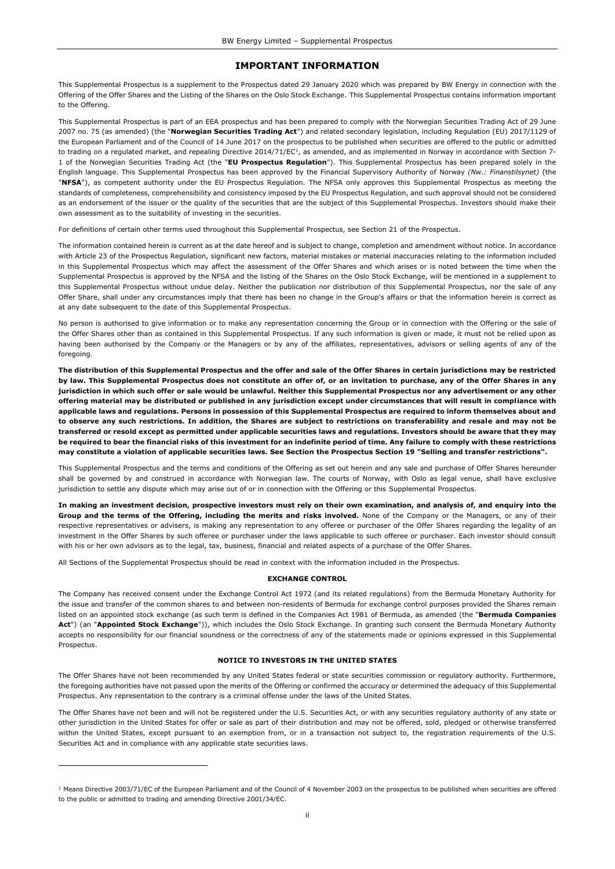#### **IMPORTANT INFORMATION**

This Supplemental Prospectus is a supplement to the Prospectus dated 29 January 2020 which was prepared by BW Energy in connection with the Offering of the Offer Shares and the Listing of the Shares on the Oslo Stock Exchange. This Supplemental Prospectus contains information important to the Offering.

This Supplemental Prospectus is part of an EEA prospectus and has been prepared to comply with the Norwegian Securities Trading Act of 29 June 2007 no. 75 (as amended) (the "**Norwegian Securities Trading Act**") and related secondary legislation, including Regulation (EU) 2017/1129 of the European Parliament and of the Council of 14 June 2017 on the prospectus to be published when securities are offered to the public or admitted to trading on a regulated market, and repealing Directive 2014/71/EC<sup>1</sup>, as amended, and as implemented in Norway in accordance with Section 7-1 of the Norwegian Securities Trading Act (the "**EU Prospectus Regulation**"). This Supplemental Prospectus has been prepared solely in the English language. This Supplemental Prospectus has been approved by the Financial Supervisory Authority of Norway *(Nw.: Finanstilsynet)* (the "**NFSA**"), as competent authority under the EU Prospectus Regulation. The NFSA only approves this Supplemental Prospectus as meeting the standards of completeness, comprehensibility and consistency imposed by the EU Prospectus Regulation, and such approval should not be considered as an endorsement of the issuer or the quality of the securities that are the subject of this Supplemental Prospectus. Investors should make their own assessment as to the suitability of investing in the securities.

For definitions of certain other terms used throughout this Supplemental Prospectus, see Section 21 of the Prospectus.

The information contained herein is current as at the date hereof and is subject to change, completion and amendment without notice. In accordance with Article 23 of the Prospectus Regulation, significant new factors, material mistakes or material inaccuracies relating to the information included in this Supplemental Prospectus which may affect the assessment of the Offer Shares and which arises or is noted between the time when the Supplemental Prospectus is approved by the NFSA and the listing of the Shares on the Oslo Stock Exchange, will be mentioned in a supplement to this Supplemental Prospectus without undue delay. Neither the publication nor distribution of this Supplemental Prospectus, nor the sale of any Offer Share, shall under any circumstances imply that there has been no change in the Group's affairs or that the information herein is correct as at any date subsequent to the date of this Supplemental Prospectus.

No person is authorised to give information or to make any representation concerning the Group or in connection with the Offering or the sale of the Offer Shares other than as contained in this Supplemental Prospectus. If any such information is given or made, it must not be relied upon as having been authorised by the Company or the Managers or by any of the affiliates, representatives, advisors or selling agents of any of the foregoing.

**The distribution of this Supplemental Prospectus and the offer and sale of the Offer Shares in certain jurisdictions may be restricted by law. This Supplemental Prospectus does not constitute an offer of, or an invitation to purchase, any of the Offer Shares in any jurisdiction in which such offer or sale would be unlawful. Neither this Supplemental Prospectus nor any advertisement or any other offering material may be distributed or published in any jurisdiction except under circumstances that will result in compliance with applicable laws and regulations. Persons in possession of this Supplemental Prospectus are required to inform themselves about and to observe any such restrictions. In addition, the Shares are subject to restrictions on transferability and resale and may not be transferred or resold except as permitted under applicable securities laws and regulations. Investors should be aware that they may be required to bear the financial risks of this investment for an indefinite period of time. Any failure to comply with these restrictions may constitute a violation of applicable securities laws. See Section the Prospectus Section 19 "Selling and transfer restrictions".**

This Supplemental Prospectus and the terms and conditions of the Offering as set out herein and any sale and purchase of Offer Shares hereunder shall be governed by and construed in accordance with Norwegian law. The courts of Norway, with Oslo as legal venue, shall have exclusive jurisdiction to settle any dispute which may arise out of or in connection with the Offering or this Supplemental Prospectus.

**In making an investment decision, prospective investors must rely on their own examination, and analysis of, and enquiry into the Group and the terms of the Offering, including the merits and risks involved.** None of the Company or the Managers, or any of their respective representatives or advisers, is making any representation to any offeree or purchaser of the Offer Shares regarding the legality of an investment in the Offer Shares by such offeree or purchaser under the laws applicable to such offeree or purchaser. Each investor should consult with his or her own advisors as to the legal, tax, business, financial and related aspects of a purchase of the Offer Shares.

All Sections of the Supplemental Prospectus should be read in context with the information included in the Prospectus.

#### **EXCHANGE CONTROL**

The Company has received consent under the Exchange Control Act 1972 (and its related regulations) from the Bermuda Monetary Authority for the issue and transfer of the common shares to and between non-residents of Bermuda for exchange control purposes provided the Shares remain listed on an appointed stock exchange (as such term is defined in the Companies Act 1981 of Bermuda, as amended (the "**Bermuda Companies Act**") (an "**Appointed Stock Exchange**")), which includes the Oslo Stock Exchange. In granting such consent the Bermuda Monetary Authority accepts no responsibility for our financial soundness or the correctness of any of the statements made or opinions expressed in this Supplemental Prospectus.

#### **NOTICE TO INVESTORS IN THE UNITED STATES**

The Offer Shares have not been recommended by any United States federal or state securities commission or regulatory authority. Furthermore, the foregoing authorities have not passed upon the merits of the Offering or confirmed the accuracy or determined the adequacy of this Supplemental Prospectus. Any representation to the contrary is a criminal offense under the laws of the United States.

The Offer Shares have not been and will not be registered under the U.S. Securities Act, or with any securities regulatory authority of any state or other jurisdiction in the United States for offer or sale as part of their distribution and may not be offered, sold, pledged or otherwise transferred within the United States, except pursuant to an exemption from, or in a transaction not subject to, the registration requirements of the U.S. Securities Act and in compliance with any applicable state securities laws.

 $1$  Means Directive 2003/71/EC of the European Parliament and of the Council of 4 November 2003 on the prospectus to be published when securities are offered to the public or admitted to trading and amending Directive 2001/34/EC.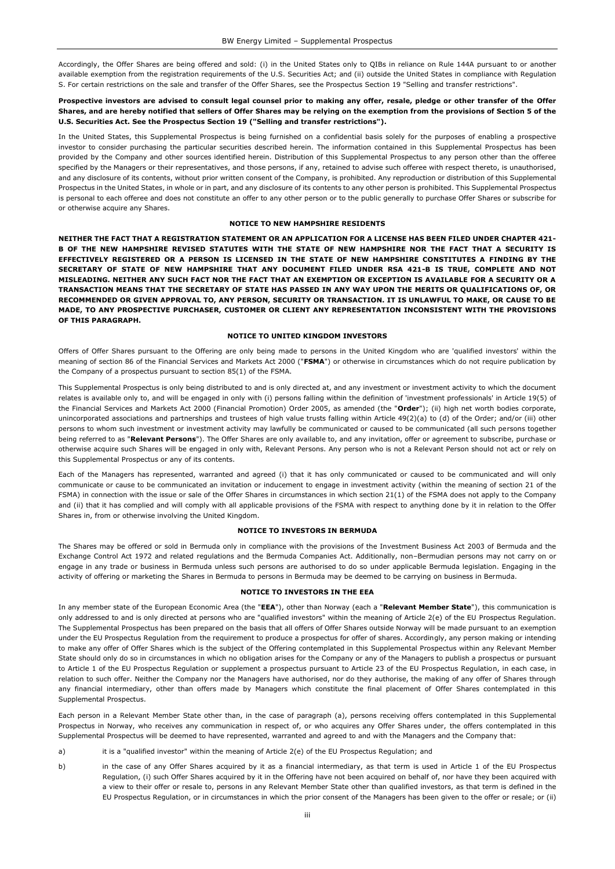Accordingly, the Offer Shares are being offered and sold: (i) in the United States only to QIBs in reliance on Rule 144A pursuant to or another available exemption from the registration requirements of the U.S. Securities Act; and (ii) outside the United States in compliance with Regulation S. For certain restrictions on the sale and transfer of the Offer Shares, see the Prospectus Section 19 "Selling and transfer restrictions".

#### **Prospective investors are advised to consult legal counsel prior to making any offer, resale, pledge or other transfer of the Offer Shares, and are hereby notified that sellers of Offer Shares may be relying on the exemption from the provisions of Section 5 of the U.S. Securities Act. See the Prospectus Section 19 ("Selling and transfer restrictions").**

In the United States, this Supplemental Prospectus is being furnished on a confidential basis solely for the purposes of enabling a prospective investor to consider purchasing the particular securities described herein. The information contained in this Supplemental Prospectus has been provided by the Company and other sources identified herein. Distribution of this Supplemental Prospectus to any person other than the offeree specified by the Managers or their representatives, and those persons, if any, retained to advise such offeree with respect thereto, is unauthorised, and any disclosure of its contents, without prior written consent of the Company, is prohibited. Any reproduction or distribution of this Supplemental Prospectus in the United States, in whole or in part, and any disclosure of its contents to any other person is prohibited. This Supplemental Prospectus is personal to each offeree and does not constitute an offer to any other person or to the public generally to purchase Offer Shares or subscribe for or otherwise acquire any Shares.

#### **NOTICE TO NEW HAMPSHIRE RESIDENTS**

**NEITHER THE FACT THAT A REGISTRATION STATEMENT OR AN APPLICATION FOR A LICENSE HAS BEEN FILED UNDER CHAPTER 421- B OF THE NEW HAMPSHIRE REVISED STATUTES WITH THE STATE OF NEW HAMPSHIRE NOR THE FACT THAT A SECURITY IS EFFECTIVELY REGISTERED OR A PERSON IS LICENSED IN THE STATE OF NEW HAMPSHIRE CONSTITUTES A FINDING BY THE SECRETARY OF STATE OF NEW HAMPSHIRE THAT ANY DOCUMENT FILED UNDER RSA 421-B IS TRUE, COMPLETE AND NOT MISLEADING. NEITHER ANY SUCH FACT NOR THE FACT THAT AN EXEMPTION OR EXCEPTION IS AVAILABLE FOR A SECURITY OR A TRANSACTION MEANS THAT THE SECRETARY OF STATE HAS PASSED IN ANY WAY UPON THE MERITS OR QUALIFICATIONS OF, OR RECOMMENDED OR GIVEN APPROVAL TO, ANY PERSON, SECURITY OR TRANSACTION. IT IS UNLAWFUL TO MAKE, OR CAUSE TO BE MADE, TO ANY PROSPECTIVE PURCHASER, CUSTOMER OR CLIENT ANY REPRESENTATION INCONSISTENT WITH THE PROVISIONS OF THIS PARAGRAPH.**

#### **NOTICE TO UNITED KINGDOM INVESTORS**

Offers of Offer Shares pursuant to the Offering are only being made to persons in the United Kingdom who are 'qualified investors' within the meaning of section 86 of the Financial Services and Markets Act 2000 ("**FSMA**") or otherwise in circumstances which do not require publication by the Company of a prospectus pursuant to section 85(1) of the FSMA.

This Supplemental Prospectus is only being distributed to and is only directed at, and any investment or investment activity to which the document relates is available only to, and will be engaged in only with (i) persons falling within the definition of 'investment professionals' in Article 19(5) of the Financial Services and Markets Act 2000 (Financial Promotion) Order 2005, as amended (the "**Order**"); (ii) high net worth bodies corporate, unincorporated associations and partnerships and trustees of high value trusts falling within Article 49(2)(a) to (d) of the Order; and/or (iii) other persons to whom such investment or investment activity may lawfully be communicated or caused to be communicated (all such persons together being referred to as "**Relevant Persons**"). The Offer Shares are only available to, and any invitation, offer or agreement to subscribe, purchase or otherwise acquire such Shares will be engaged in only with, Relevant Persons. Any person who is not a Relevant Person should not act or rely on this Supplemental Prospectus or any of its contents.

Each of the Managers has represented, warranted and agreed (i) that it has only communicated or caused to be communicated and will only communicate or cause to be communicated an invitation or inducement to engage in investment activity (within the meaning of section 21 of the FSMA) in connection with the issue or sale of the Offer Shares in circumstances in which section 21(1) of the FSMA does not apply to the Company and (ii) that it has complied and will comply with all applicable provisions of the FSMA with respect to anything done by it in relation to the Offer Shares in, from or otherwise involving the United Kingdom.

#### **NOTICE TO INVESTORS IN BERMUDA**

The Shares may be offered or sold in Bermuda only in compliance with the provisions of the Investment Business Act 2003 of Bermuda and the Exchange Control Act 1972 and related regulations and the Bermuda Companies Act. Additionally, non–Bermudian persons may not carry on or engage in any trade or business in Bermuda unless such persons are authorised to do so under applicable Bermuda legislation. Engaging in the activity of offering or marketing the Shares in Bermuda to persons in Bermuda may be deemed to be carrying on business in Bermuda.

#### **NOTICE TO INVESTORS IN THE EEA**

In any member state of the European Economic Area (the "**EEA**"), other than Norway (each a "**Relevant Member State**"), this communication is only addressed to and is only directed at persons who are "qualified investors" within the meaning of Article 2(e) of the EU Prospectus Regulation. The Supplemental Prospectus has been prepared on the basis that all offers of Offer Shares outside Norway will be made pursuant to an exemption under the EU Prospectus Regulation from the requirement to produce a prospectus for offer of shares. Accordingly, any person making or intending to make any offer of Offer Shares which is the subject of the Offering contemplated in this Supplemental Prospectus within any Relevant Member State should only do so in circumstances in which no obligation arises for the Company or any of the Managers to publish a prospectus or pursuant to Article 1 of the EU Prospectus Regulation or supplement a prospectus pursuant to Article 23 of the EU Prospectus Regulation, in each case, in relation to such offer. Neither the Company nor the Managers have authorised, nor do they authorise, the making of any offer of Shares through any financial intermediary, other than offers made by Managers which constitute the final placement of Offer Shares contemplated in this Supplemental Prospectus.

Each person in a Relevant Member State other than, in the case of paragraph (a), persons receiving offers contemplated in this Supplemental Prospectus in Norway, who receives any communication in respect of, or who acquires any Offer Shares under, the offers contemplated in this Supplemental Prospectus will be deemed to have represented, warranted and agreed to and with the Managers and the Company that:

- a) it is a "qualified investor" within the meaning of Article 2(e) of the EU Prospectus Regulation; and
- b) in the case of any Offer Shares acquired by it as a financial intermediary, as that term is used in Article 1 of the EU Prospectus Regulation, (i) such Offer Shares acquired by it in the Offering have not been acquired on behalf of, nor have they been acquired with a view to their offer or resale to, persons in any Relevant Member State other than qualified investors, as that term is defined in the EU Prospectus Regulation, or in circumstances in which the prior consent of the Managers has been given to the offer or resale; or (ii)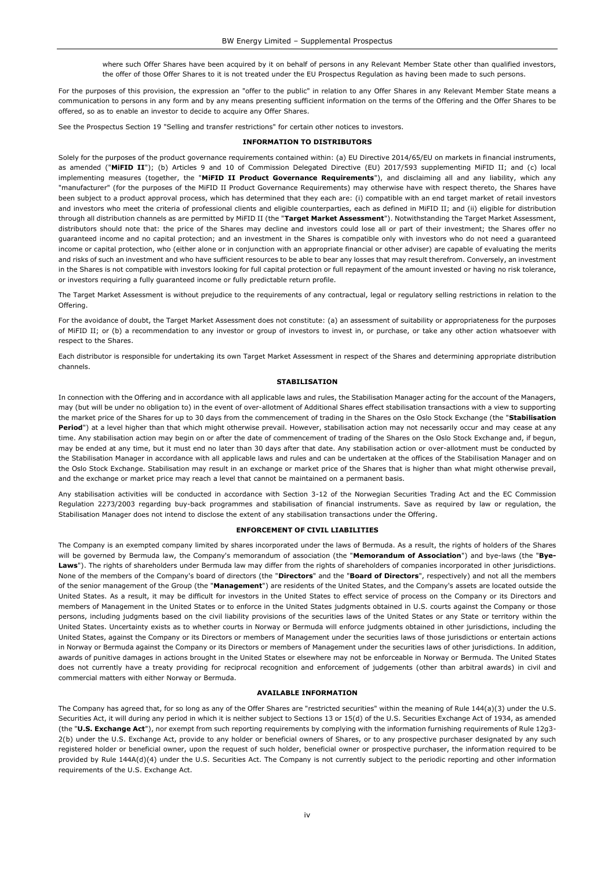where such Offer Shares have been acquired by it on behalf of persons in any Relevant Member State other than qualified investors, the offer of those Offer Shares to it is not treated under the EU Prospectus Regulation as having been made to such persons.

For the purposes of this provision, the expression an "offer to the public" in relation to any Offer Shares in any Relevant Member State means a communication to persons in any form and by any means presenting sufficient information on the terms of the Offering and the Offer Shares to be offered, so as to enable an investor to decide to acquire any Offer Shares.

See the Prospectus Section 19 "Selling and transfer restrictions" for certain other notices to investors.

#### **INFORMATION TO DISTRIBUTORS**

Solely for the purposes of the product governance requirements contained within: (a) EU Directive 2014/65/EU on markets in financial instruments, as amended ("MiFID II"); (b) Articles 9 and 10 of Commission Delegated Directive (EU) 2017/593 supplementing MiFID II; and (c) local implementing measures (together, the "**MiFID II Product Governance Requirements**"), and disclaiming all and any liability, which any "manufacturer" (for the purposes of the MiFID II Product Governance Requirements) may otherwise have with respect thereto, the Shares have been subject to a product approval process, which has determined that they each are: (i) compatible with an end target market of retail investors and investors who meet the criteria of professional clients and eligible counterparties, each as defined in MiFID II; and (ii) eligible for distribution through all distribution channels as are permitted by MiFID II (the "**Target Market Assessment**"). Notwithstanding the Target Market Assessment, distributors should note that: the price of the Shares may decline and investors could lose all or part of their investment; the Shares offer no guaranteed income and no capital protection; and an investment in the Shares is compatible only with investors who do not need a guaranteed income or capital protection, who (either alone or in conjunction with an appropriate financial or other adviser) are capable of evaluating the merits and risks of such an investment and who have sufficient resources to be able to bear any losses that may result therefrom. Conversely, an investment in the Shares is not compatible with investors looking for full capital protection or full repayment of the amount invested or having no risk tolerance, or investors requiring a fully guaranteed income or fully predictable return profile.

The Target Market Assessment is without prejudice to the requirements of any contractual, legal or regulatory selling restrictions in relation to the Offering.

For the avoidance of doubt, the Target Market Assessment does not constitute: (a) an assessment of suitability or appropriateness for the purposes of MiFID II; or (b) a recommendation to any investor or group of investors to invest in, or purchase, or take any other action whatsoever with respect to the Shares.

Each distributor is responsible for undertaking its own Target Market Assessment in respect of the Shares and determining appropriate distribution channels.

#### **STABILISATION**

In connection with the Offering and in accordance with all applicable laws and rules, the Stabilisation Manager acting for the account of the Managers, may (but will be under no obligation to) in the event of over-allotment of Additional Shares effect stabilisation transactions with a view to supporting the market price of the Shares for up to 30 days from the commencement of trading in the Shares on the Oslo Stock Exchange (the "**Stabilisation**  Period") at a level higher than that which might otherwise prevail. However, stabilisation action may not necessarily occur and may cease at any time. Any stabilisation action may begin on or after the date of commencement of trading of the Shares on the Oslo Stock Exchange and, if begun, may be ended at any time, but it must end no later than 30 days after that date. Any stabilisation action or over-allotment must be conducted by the Stabilisation Manager in accordance with all applicable laws and rules and can be undertaken at the offices of the Stabilisation Manager and on the Oslo Stock Exchange. Stabilisation may result in an exchange or market price of the Shares that is higher than what might otherwise prevail, and the exchange or market price may reach a level that cannot be maintained on a permanent basis.

Any stabilisation activities will be conducted in accordance with Section 3-12 of the Norwegian Securities Trading Act and the EC Commission Regulation 2273/2003 regarding buy-back programmes and stabilisation of financial instruments. Save as required by law or regulation, the Stabilisation Manager does not intend to disclose the extent of any stabilisation transactions under the Offering.

#### **ENFORCEMENT OF CIVIL LIABILITIES**

The Company is an exempted company limited by shares incorporated under the laws of Bermuda. As a result, the rights of holders of the Shares will be governed by Bermuda law, the Company's memorandum of association (the "**Memorandum of Association**") and bye-laws (the "**Bye-**Laws"). The rights of shareholders under Bermuda law may differ from the rights of shareholders of companies incorporated in other jurisdictions. None of the members of the Company's board of directors (the "**Directors**" and the "**Board of Directors**", respectively) and not all the members of the senior management of the Group (the "**Management**") are residents of the United States, and the Company's assets are located outside the United States. As a result, it may be difficult for investors in the United States to effect service of process on the Company or its Directors and members of Management in the United States or to enforce in the United States judgments obtained in U.S. courts against the Company or those persons, including judgments based on the civil liability provisions of the securities laws of the United States or any State or territory within the United States. Uncertainty exists as to whether courts in Norway or Bermuda will enforce judgments obtained in other jurisdictions, including the United States, against the Company or its Directors or members of Management under the securities laws of those jurisdictions or entertain actions in Norway or Bermuda against the Company or its Directors or members of Management under the securities laws of other jurisdictions. In addition, awards of punitive damages in actions brought in the United States or elsewhere may not be enforceable in Norway or Bermuda. The United States does not currently have a treaty providing for reciprocal recognition and enforcement of judgements (other than arbitral awards) in civil and commercial matters with either Norway or Bermuda.

#### **AVAILABLE INFORMATION**

The Company has agreed that, for so long as any of the Offer Shares are "restricted securities" within the meaning of Rule 144(a)(3) under the U.S. Securities Act, it will during any period in which it is neither subject to Sections 13 or 15(d) of the U.S. Securities Exchange Act of 1934, as amended (the "**U.S. Exchange Act**"), nor exempt from such reporting requirements by complying with the information furnishing requirements of Rule 12g3- 2(b) under the U.S. Exchange Act, provide to any holder or beneficial owners of Shares, or to any prospective purchaser designated by any such registered holder or beneficial owner, upon the request of such holder, beneficial owner or prospective purchaser, the information required to be provided by Rule 144A(d)(4) under the U.S. Securities Act. The Company is not currently subject to the periodic reporting and other information requirements of the U.S. Exchange Act.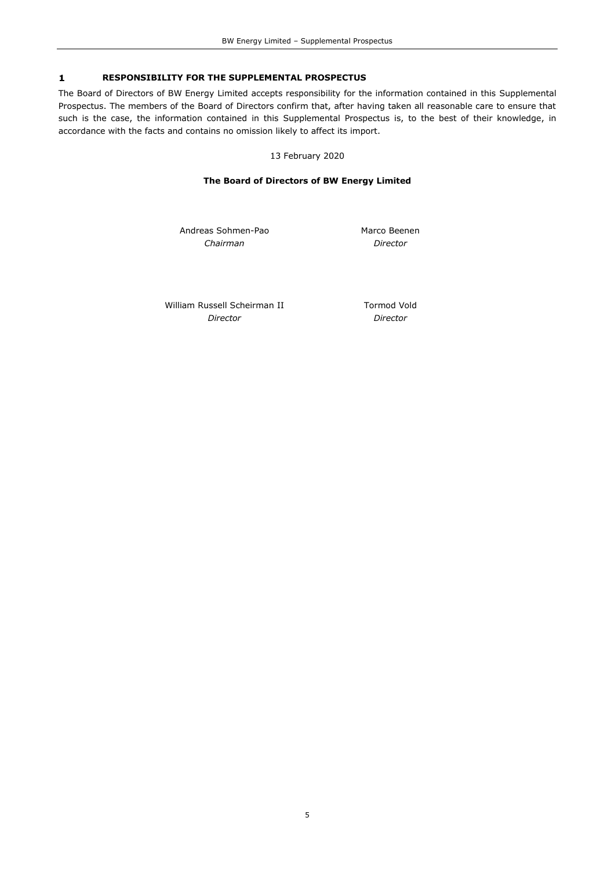#### **RESPONSIBILITY FOR THE SUPPLEMENTAL PROSPECTUS**  $\mathbf{1}$

The Board of Directors of BW Energy Limited accepts responsibility for the information contained in this Supplemental Prospectus. The members of the Board of Directors confirm that, after having taken all reasonable care to ensure that such is the case, the information contained in this Supplemental Prospectus is, to the best of their knowledge, in accordance with the facts and contains no omission likely to affect its import.

13 February 2020

# **The Board of Directors of BW Energy Limited**

Andreas Sohmen-Pao *Chairman*

Marco Beenen *Director*

William Russell Scheirman II *Director*

Tormod Vold *Director*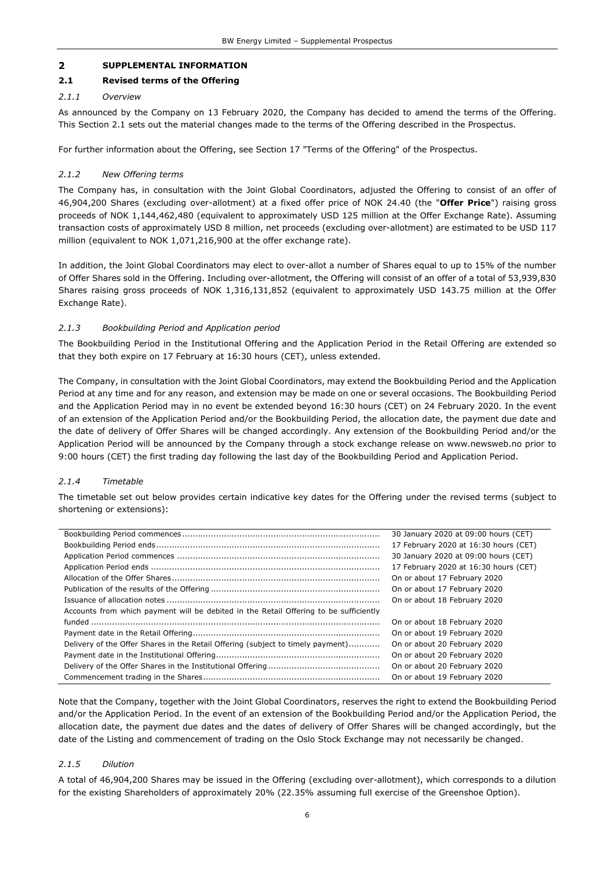#### **SUPPLEMENTAL INFORMATION**  $\overline{2}$

## <span id="page-8-0"></span>**2.1 Revised terms of the Offering**

## *2.1.1 Overview*

As announced by the Company on 13 February 2020, the Company has decided to amend the terms of the Offering. This Section [2.1](#page-8-0) sets out the material changes made to the terms of the Offering described in the Prospectus.

For further information about the Offering, see Section 17 "Terms of the Offering" of the Prospectus.

## *2.1.2 New Offering terms*

The Company has, in consultation with the Joint Global Coordinators, adjusted the Offering to consist of an offer of 46,904,200 Shares (excluding over-allotment) at a fixed offer price of NOK 24.40 (the "**Offer Price**") raising gross proceeds of NOK 1,144,462,480 (equivalent to approximately USD 125 million at the Offer Exchange Rate). Assuming transaction costs of approximately USD 8 million, net proceeds (excluding over-allotment) are estimated to be USD 117 million (equivalent to NOK 1,071,216,900 at the offer exchange rate).

In addition, the Joint Global Coordinators may elect to over-allot a number of Shares equal to up to 15% of the number of Offer Shares sold in the Offering. Including over-allotment, the Offering will consist of an offer of a total of 53,939,830 Shares raising gross proceeds of NOK 1,316,131,852 (equivalent to approximately USD 143.75 million at the Offer Exchange Rate).

## *2.1.3 Bookbuilding Period and Application period*

The Bookbuilding Period in the Institutional Offering and the Application Period in the Retail Offering are extended so that they both expire on 17 February at 16:30 hours (CET), unless extended.

The Company, in consultation with the Joint Global Coordinators, may extend the Bookbuilding Period and the Application Period at any time and for any reason, and extension may be made on one or several occasions. The Bookbuilding Period and the Application Period may in no event be extended beyond 16:30 hours (CET) on 24 February 2020. In the event of an extension of the Application Period and/or the Bookbuilding Period, the allocation date, the payment due date and the date of delivery of Offer Shares will be changed accordingly. Any extension of the Bookbuilding Period and/or the Application Period will be announced by the Company through a stock exchange release on www.newsweb.no prior to 9:00 hours (CET) the first trading day following the last day of the Bookbuilding Period and Application Period.

## *2.1.4 Timetable*

The timetable set out below provides certain indicative key dates for the Offering under the revised terms (subject to shortening or extensions):

|                                                                                       | 30 January 2020 at 09:00 hours (CET)  |
|---------------------------------------------------------------------------------------|---------------------------------------|
|                                                                                       | 17 February 2020 at 16:30 hours (CET) |
|                                                                                       | 30 January 2020 at 09:00 hours (CET)  |
|                                                                                       | 17 February 2020 at 16:30 hours (CET) |
|                                                                                       | On or about 17 February 2020          |
|                                                                                       | On or about 17 February 2020          |
|                                                                                       | On or about 18 February 2020          |
| Accounts from which payment will be debited in the Retail Offering to be sufficiently |                                       |
|                                                                                       | On or about 18 February 2020          |
|                                                                                       | On or about 19 February 2020          |
| Delivery of the Offer Shares in the Retail Offering (subject to timely payment)       | On or about 20 February 2020          |
|                                                                                       | On or about 20 February 2020          |
|                                                                                       | On or about 20 February 2020          |
|                                                                                       | On or about 19 February 2020          |

Note that the Company, together with the Joint Global Coordinators, reserves the right to extend the Bookbuilding Period and/or the Application Period. In the event of an extension of the Bookbuilding Period and/or the Application Period, the allocation date, the payment due dates and the dates of delivery of Offer Shares will be changed accordingly, but the date of the Listing and commencement of trading on the Oslo Stock Exchange may not necessarily be changed.

## *2.1.5 Dilution*

A total of 46,904,200 Shares may be issued in the Offering (excluding over-allotment), which corresponds to a dilution for the existing Shareholders of approximately 20% (22.35% assuming full exercise of the Greenshoe Option).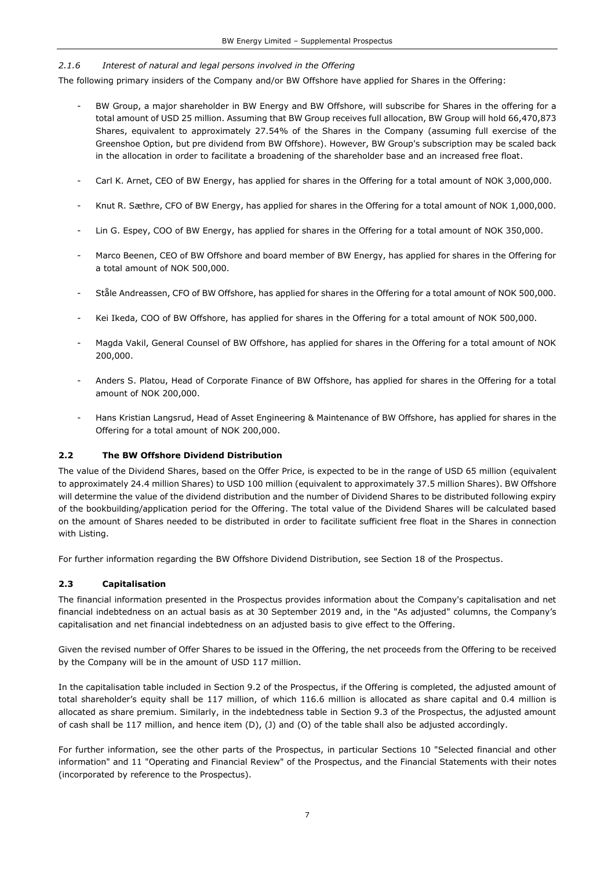## *2.1.6 Interest of natural and legal persons involved in the Offering*

The following primary insiders of the Company and/or BW Offshore have applied for Shares in the Offering:

- BW Group, a major shareholder in BW Energy and BW Offshore, will subscribe for Shares in the offering for a total amount of USD 25 million. Assuming that BW Group receives full allocation, BW Group will hold 66,470,873 Shares, equivalent to approximately 27.54% of the Shares in the Company (assuming full exercise of the Greenshoe Option, but pre dividend from BW Offshore). However, BW Group's subscription may be scaled back in the allocation in order to facilitate a broadening of the shareholder base and an increased free float.
- Carl K. Arnet, CEO of BW Energy, has applied for shares in the Offering for a total amount of NOK 3,000,000.
- Knut R. Sæthre, CFO of BW Energy, has applied for shares in the Offering for a total amount of NOK 1,000,000.
- Lin G. Espey, COO of BW Energy, has applied for shares in the Offering for a total amount of NOK 350,000.
- Marco Beenen, CEO of BW Offshore and board member of BW Energy, has applied for shares in the Offering for a total amount of NOK 500,000.
- Ståle Andreassen, CFO of BW Offshore, has applied for shares in the Offering for a total amount of NOK 500,000.
- Kei Ikeda, COO of BW Offshore, has applied for shares in the Offering for a total amount of NOK 500,000.
- Magda Vakil, General Counsel of BW Offshore, has applied for shares in the Offering for a total amount of NOK 200,000.
- Anders S. Platou, Head of Corporate Finance of BW Offshore, has applied for shares in the Offering for a total amount of NOK 200,000.
- Hans Kristian Langsrud, Head of Asset Engineering & Maintenance of BW Offshore, has applied for shares in the Offering for a total amount of NOK 200,000.

## **2.2 The BW Offshore Dividend Distribution**

The value of the Dividend Shares, based on the Offer Price, is expected to be in the range of USD 65 million (equivalent to approximately 24.4 million Shares) to USD 100 million (equivalent to approximately 37.5 million Shares). BW Offshore will determine the value of the dividend distribution and the number of Dividend Shares to be distributed following expiry of the bookbuilding/application period for the Offering. The total value of the Dividend Shares will be calculated based on the amount of Shares needed to be distributed in order to facilitate sufficient free float in the Shares in connection with Listing.

For further information regarding the BW Offshore Dividend Distribution, see Section 18 of the Prospectus.

## **2.3 Capitalisation**

The financial information presented in the Prospectus provides information about the Company's capitalisation and net financial indebtedness on an actual basis as at 30 September 2019 and, in the "As adjusted" columns, the Company's capitalisation and net financial indebtedness on an adjusted basis to give effect to the Offering.

Given the revised number of Offer Shares to be issued in the Offering, the net proceeds from the Offering to be received by the Company will be in the amount of USD 117 million.

In the capitalisation table included in Section 9.2 of the Prospectus, if the Offering is completed, the adjusted amount of total shareholder's equity shall be 117 million, of which 116.6 million is allocated as share capital and 0.4 million is allocated as share premium. Similarly, in the indebtedness table in Section 9.3 of the Prospectus, the adjusted amount of cash shall be 117 million, and hence item (D), (J) and (O) of the table shall also be adjusted accordingly.

For further information, see the other parts of the Prospectus, in particular Sections 10 "Selected financial and other information" and 11 "Operating and Financial Review" of the Prospectus, and the Financial Statements with their notes (incorporated by reference to the Prospectus).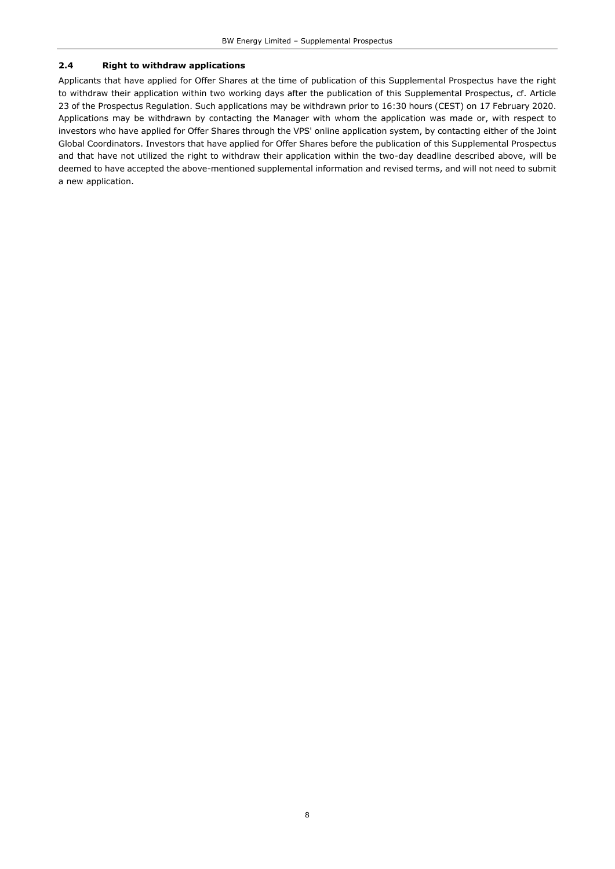## **2.4 Right to withdraw applications**

Applicants that have applied for Offer Shares at the time of publication of this Supplemental Prospectus have the right to withdraw their application within two working days after the publication of this Supplemental Prospectus, cf. Article 23 of the Prospectus Regulation. Such applications may be withdrawn prior to 16:30 hours (CEST) on 17 February 2020. Applications may be withdrawn by contacting the Manager with whom the application was made or, with respect to investors who have applied for Offer Shares through the VPS' online application system, by contacting either of the Joint Global Coordinators. Investors that have applied for Offer Shares before the publication of this Supplemental Prospectus and that have not utilized the right to withdraw their application within the two-day deadline described above, will be deemed to have accepted the above-mentioned supplemental information and revised terms, and will not need to submit a new application.